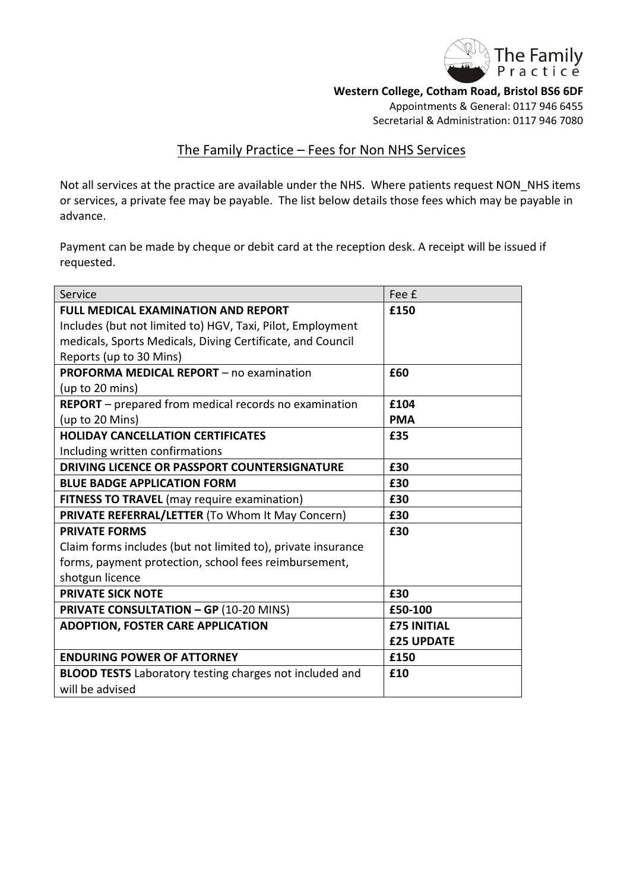

**Western College, Cotham Road, Bristol BS6 6DF**

Appointments & General: 0117 946 6455 Secretarial & Administration: 0117 946 7080

# The Family Practice – Fees for Non NHS Services

Not all services at the practice are available under the NHS. Where patients request NON\_NHS items or services, a private fee may be payable. The list below details those fees which may be payable in advance.

Payment can be made by cheque or debit card at the reception desk. A receipt will be issued if requested.

| Service                                                        | Fee £              |
|----------------------------------------------------------------|--------------------|
| <b>FULL MEDICAL EXAMINATION AND REPORT</b>                     | £150               |
| Includes (but not limited to) HGV, Taxi, Pilot, Employment     |                    |
| medicals, Sports Medicals, Diving Certificate, and Council     |                    |
| Reports (up to 30 Mins)                                        |                    |
| <b>PROFORMA MEDICAL REPORT</b> - no examination                | £60                |
| (up to 20 mins)                                                |                    |
| <b>REPORT</b> – prepared from medical records no examination   | £104               |
| (up to 20 Mins)                                                | <b>PMA</b>         |
| <b>HOLIDAY CANCELLATION CERTIFICATES</b>                       | £35                |
| Including written confirmations                                |                    |
| DRIVING LICENCE OR PASSPORT COUNTERSIGNATURE                   | £30                |
| <b>BLUE BADGE APPLICATION FORM</b>                             | £30                |
| <b>FITNESS TO TRAVEL</b> (may require examination)             | £30                |
| PRIVATE REFERRAL/LETTER (To Whom It May Concern)               | £30                |
| <b>PRIVATE FORMS</b>                                           | £30                |
| Claim forms includes (but not limited to), private insurance   |                    |
| forms, payment protection, school fees reimbursement,          |                    |
| shotgun licence                                                |                    |
| <b>PRIVATE SICK NOTE</b>                                       | £30                |
| <b>PRIVATE CONSULTATION - GP (10-20 MINS)</b>                  | £50-100            |
| <b>ADOPTION, FOSTER CARE APPLICATION</b>                       | <b>£75 INITIAL</b> |
|                                                                | <b>£25 UPDATE</b>  |
| <b>ENDURING POWER OF ATTORNEY</b>                              | £150               |
| <b>BLOOD TESTS</b> Laboratory testing charges not included and | £10                |
| will be advised                                                |                    |